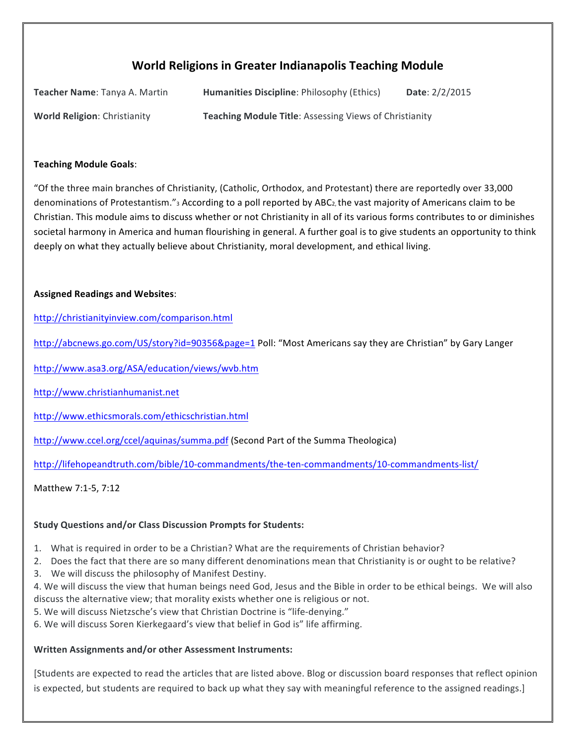# **World Religions in Greater Indianapolis Teaching Module**

| Teacher Name: Tanya A. Martin       | <b>Humanities Discipline: Philosophy (Ethics)</b>             | Date: 2/2/2015 |
|-------------------------------------|---------------------------------------------------------------|----------------|
| <b>World Religion: Christianity</b> | <b>Teaching Module Title: Assessing Views of Christianity</b> |                |

#### **Teaching Module Goals**:

"Of the three main branches of Christianity, (Catholic, Orthodox, and Protestant) there are reportedly over 33,000 denominations of Protestantism."<sub>3</sub> According to a poll reported by ABC<sub>2</sub>, the vast majority of Americans claim to be Christian. This module aims to discuss whether or not Christianity in all of its various forms contributes to or diminishes societal harmony in America and human flourishing in general. A further goal is to give students an opportunity to think deeply on what they actually believe about Christianity, moral development, and ethical living.

### **Assigned Readings and Websites**:

http://christianityinview.com/comparison.html

http://abcnews.go.com/US/story?id=90356&page=1 Poll: "Most Americans say they are Christian" by Gary Langer

http://www.asa3.org/ASA/education/views/wvb.htm

http://www.christianhumanist.net

http://www.ethicsmorals.com/ethicschristian.html

http://www.ccel.org/ccel/aquinas/summa.pdf (Second Part of the Summa Theologica)

http://lifehopeandtruth.com/bible/10-commandments/the-ten-commandments/10-commandments-list/

Matthew 7:1-5, 7:12

### **Study Questions and/or Class Discussion Prompts for Students:**

- 1. What is required in order to be a Christian? What are the requirements of Christian behavior?
- 2. Does the fact that there are so many different denominations mean that Christianity is or ought to be relative?
- 3. We will discuss the philosophy of Manifest Destiny.
- 4. We will discuss the view that human beings need God, Jesus and the Bible in order to be ethical beings. We will also discuss the alternative view; that morality exists whether one is religious or not.
- 5. We will discuss Nietzsche's view that Christian Doctrine is "life-denying."
- 6. We will discuss Soren Kierkegaard's view that belief in God is" life affirming.

## Written Assignments and/or other Assessment Instruments:

[Students are expected to read the articles that are listed above. Blog or discussion board responses that reflect opinion is expected, but students are required to back up what they say with meaningful reference to the assigned readings.]